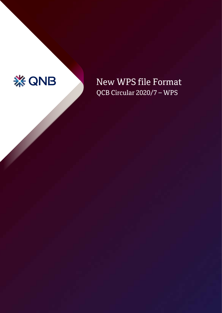

# New WPS file Format QCB Circular 2020/7 – WPS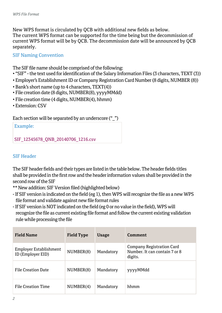New WPS format is circulated by QCB with additional new fields as below. The current WPS format can be supported for the time being but the decommission of current WPS format will be by QCB. The decommission date will be announced by QCB separately.

## SIF Naming Convention

The SIF file name should be comprised of the following:

- "SIF" the text used for identification of the Salary Information Files (3 characters, TEXT (3))
- Employer's Establishment ID or Company Registration Card Number (8 digits, NUMBER (8))
- Bank's short name (up to 4 characters, TEXT(4))
- File creation date (8 digits, NUMBER(8), yyyyMMdd)
- File creation time (4 digits, NUMBER(4), hhmm)
- Extension: CSV

Each section will be separated by an underscore ("")

Example:

SIF\_12345678\_ONB\_20140706\_1216.csv

## SIF Header

The SIF header fields and their types are listed in the table below. The header fields titles shall be provided in the first row and the header information values shall be provided in the second row of the SIF

\*\* New addition: SIF Version filed (highlighted below)

- If SIF version is indicated on the field (eg 1), then WPS will recognize the file as a new WPS file format and validate against new file format rules
- If SIF version is NOT indicated on the field (eg 0 or no value in the field), WPS will recognize the file as current existing file format and follow the current existing validation rule while processing the file

| <b>Field Name</b>                           | <b>Field Type</b> | <b>Usage</b> | Comment                                                               |
|---------------------------------------------|-------------------|--------------|-----------------------------------------------------------------------|
| Employer Establishment<br>ID (Employer EID) | NUMBER(8)         | Mandatory    | Company Registration Card<br>Number. It can contain 7 or 8<br>digits. |
| File Creation Date                          | NUMBER(8)         | Mandatory    | yyyyMMdd                                                              |
| File Creation Time                          | NUMBER(4)         | Mandatory    | hhmm                                                                  |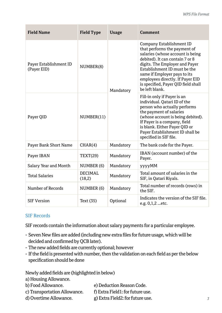| <b>Field Name</b>                     | <b>Field Type</b>        | <b>Usage</b> | <b>Comment</b>                                                                                                                                                                                                                                                                                                                 |
|---------------------------------------|--------------------------|--------------|--------------------------------------------------------------------------------------------------------------------------------------------------------------------------------------------------------------------------------------------------------------------------------------------------------------------------------|
| Payer Establishment ID<br>(Payer EID) | NUMBER(8)                | Mandatory    | Company Establishment ID<br>that performs the payment of<br>salaries (whose account is being<br>debited). It can contain 7 or 8<br>digits. The Employer and Payer<br>Establishment ID must be the<br>same if Employer pays to its<br>employees directly. If Payer EID<br>is specified, Payer QID field shall<br>be left blank. |
| Payer QID                             | NUMBER(11)               |              | Fill-in only if Payer is an<br>individual. Oatari ID of the<br>person who actually performs<br>the payment of salaries<br>(whose account is being debited).<br>If Payer is a company, field<br>is blank. Either Payer QID or<br>Payer Establishment ID shall be<br>specified in SIF file.                                      |
| Payer Bank Short Name                 | CHAR(4)                  | Mandatory    | The bank code for the Payer.                                                                                                                                                                                                                                                                                                   |
| Payer IBAN                            | TEXT(29)                 | Mandatory    | IBAN (account number) of the<br>Payer.                                                                                                                                                                                                                                                                                         |
| Salary Year and Month                 | NUMBER (6)               | Mandatory    | <b>vyyyMM</b>                                                                                                                                                                                                                                                                                                                  |
| <b>Total Salaries</b>                 | <b>DECIMAL</b><br>(18,2) | Mandatory    | Total amount of salaries in the<br>SIF, in Qatari Riyals.                                                                                                                                                                                                                                                                      |
| Number of Records                     | NUMBER (6)               | Mandatory    | Total number of records (rows) in<br>the SIF.                                                                                                                                                                                                                                                                                  |
| <b>SIF Version</b>                    | Text (35)                | Optional     | Indicates the version of the SIF file.<br>e.g. 0,1,2 etc.                                                                                                                                                                                                                                                                      |

#### SIF Records

SIF records contain the information about salary payments for a particular employee.

- Seven New files are added (including new extra files for future usage, which will be decided and confirmed by QCB later).
- The new added fields are currently optional; however
- If the field is presented with number, then the validation on each field as per the below specification should be done

Newly added fields are (highlighted in below)

- a) Housing Allowance.
- b) Food Allowance. e) Deduction Reason Code.
- c) Transportation Allowance. f) Extra Field1: for future use.
- d) Overtime Allowance. g) Extra Field2: for future use.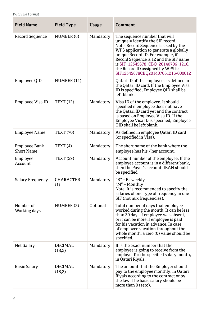*WPS File Format*

| <b>Field Name</b>                  | <b>Field Type</b>        | <b>Usage</b> | Comment                                                                                                                                                                                                                                                                                                                                             |
|------------------------------------|--------------------------|--------------|-----------------------------------------------------------------------------------------------------------------------------------------------------------------------------------------------------------------------------------------------------------------------------------------------------------------------------------------------------|
| Record Sequence                    | NUMBER (6)               | Mandatory    | The sequence number that will<br>uniquely identify the SIF record.<br>Note: Record Sequence is used by the<br>WPS application to generate a globally<br>unique Record ID. For example, if<br>Record Sequence is 12 and the SIF name<br>is SIF 12345678 CBQ 20140706 1216,<br>the Record ID assigned by WPS is:<br>SIF12345678CBQ201407061216-000012 |
| Employee QID                       | NUMBER (11)              |              | Qatari ID of the employee, as defined in<br>the Qatari ID card. If the Employee Visa<br>ID is specified, Employee QID shall be<br>left blank.                                                                                                                                                                                                       |
| Employee Visa ID                   | TEXT (12)                | Mandatory    | Visa ID of the employee. It should<br>specified if employee does not have<br>the Qatari ID card yet and the contract<br>is based on Employee Visa ID. If the<br>Employee Visa ID is specified, Employee<br>QID shall be left blank.                                                                                                                 |
| <b>Employee Name</b>               | <b>TEXT (70)</b>         | Mandatory    | As defined in employee Qatari ID card<br>(or specified in Visa).                                                                                                                                                                                                                                                                                    |
| Employee Bank<br><b>Short Name</b> | TEXT(4)                  | Mandatory    | The short name of the bank where the<br>employee has his / her account.                                                                                                                                                                                                                                                                             |
| Employee<br>Account                | <b>TEXT (29)</b>         | Mandatory    | Account number of the employee. If the<br>employee account is in a different bank,<br>then the Payer's account, IBAN should<br>be specified.                                                                                                                                                                                                        |
| <b>Salary Frequency</b>            | <b>CHARACTER</b><br>(1)  | Mandatory    | "B" - Bi-weekly<br>"M" - Monthly<br>Note: It is recommended to specify the<br>salaries of one type of frequency in one<br>SIF (not mix frequencies).                                                                                                                                                                                                |
| Number of<br>Working days          | NUMBER (3)               | Optional     | Total number of days that employee<br>worked during the month. It can be less<br>than 30 days if employee was absent,<br>or it can be more if employee is paid<br>for his vacation in advance. In case<br>of employee vacation throughout the<br>whole month, a zero (0) value should be<br>specified.                                              |
| Net Salary                         | <b>DECIMAL</b><br>(18,2) | Mandatory    | It is the exact number that the<br>employee is going to receive from the<br>employer for the specified salary month,<br>in Qatari Rivals.                                                                                                                                                                                                           |
| <b>Basic Salary</b>                | DECIMAL<br>(18,2)        | Mandatory    | The amount that the Employer should<br>pay to the employee monthly, in Qatari<br>Riyals according to the contract or by<br>the law. The basic salary should be<br>more than 0 (zero).                                                                                                                                                               |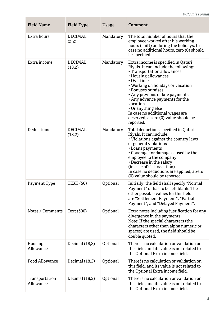| <b>Field Name</b>           | <b>Field Type</b>       | Usage     | Comment                                                                                                                                                                                                                                                                                                                                                                                                      |
|-----------------------------|-------------------------|-----------|--------------------------------------------------------------------------------------------------------------------------------------------------------------------------------------------------------------------------------------------------------------------------------------------------------------------------------------------------------------------------------------------------------------|
| Extra hours                 | <b>DECIMAL</b><br>(3,2) | Mandatory | The total number of hours that the<br>employee worked after his working<br>hours (shift) or during the holidays. In<br>case no additional hours, zero (0) should<br>be specified.                                                                                                                                                                                                                            |
| Extra income                | DECIMAL<br>(18,2)       | Mandatory | Extra income is specified in Qatari<br>Riyals. It can include the following:<br>• Transportation allowances<br>• Housing allowances<br>• Overtime<br>• Working on holidays or vacation<br>• Bonuses or raises<br>• Any previous or late payments<br>• Any advance payments for the<br>vacation<br>• Or anything else<br>In case no additional wages are<br>deserved, a zero (0) value should be<br>reported. |
| Deductions                  | DECIMAL<br>(18,2)       | Mandatory | Total deductions specified in Qatari<br>Riyals. It can include:<br>• Violations against the country laws<br>or general violations<br>• Loans payments<br>• Coverage for damage caused by the<br>employee to the company<br>• Decrease in the salary<br>(in case of sick vacation)<br>In case no deductions are applied, a zero<br>(0) value should be reported.                                              |
| Payment Type                | <b>TEXT (50)</b>        | Optional  | Initially, the field shall specify "Normal<br>Payment" or has to be left blank. The<br>other possible values for this field<br>are "Settlement Payment", "Partial<br>Payment", and "Delayed Payment".                                                                                                                                                                                                        |
| Notes / Comments            | Text (300)              | Optional  | Extra notes including justification for any<br>divergence in the payments.<br>Note: If the special characters (the<br>characters other than alpha numeric or<br>spaces) are used, the field should be<br>double quoted.                                                                                                                                                                                      |
| Housing<br>Allowance        | Decimal $(18,2)$        | Optional  | There is no calculation or validation on<br>this field, and its value is not related to<br>the Optional Extra income field.                                                                                                                                                                                                                                                                                  |
| <b>Food Allowance</b>       | Decimal (18,2)          | Optional  | There is no calculation or validation on<br>this field, and its value is not related to<br>the Optional Extra income field.                                                                                                                                                                                                                                                                                  |
| Transportation<br>Allowance | Decimal (18,2)          | Optional  | There is no calculation or validation on<br>this field, and its value is not related to<br>the Optional Extra income field.                                                                                                                                                                                                                                                                                  |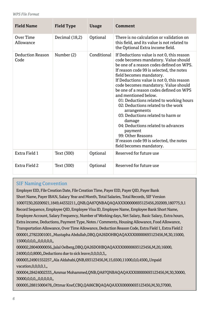*WPS File Format*

| <b>Field Name</b>               | <b>Field Type</b> | <b>Usage</b> | Comment                                                                                                                                                                                                                                                                                                                                                                                                                                                                                                                                                                                                                                                     |
|---------------------------------|-------------------|--------------|-------------------------------------------------------------------------------------------------------------------------------------------------------------------------------------------------------------------------------------------------------------------------------------------------------------------------------------------------------------------------------------------------------------------------------------------------------------------------------------------------------------------------------------------------------------------------------------------------------------------------------------------------------------|
| Over Time<br>Allowance          | Decimal (18,2)    | Optional     | There is no calculation or validation on<br>this field, and its value is not related to<br>the Optional Extra income field.                                                                                                                                                                                                                                                                                                                                                                                                                                                                                                                                 |
| <b>Deduction Reason</b><br>Code | Number (2)        | Conditional  | If Deductions value is not 0, this reason<br>code becomes mandatory. Value should<br>be one of a reason codes defined on WPS.<br>If reason code 99 is selected, the notes<br>field becomes mandatory.<br>If Deductions value is not 0, this reason<br>code becomes mandatory. Value should<br>be one of a reason codes defined on WPS<br>and mentioned below.<br>01: Deductions related to working hours<br>02: Deductions related to the work<br>arrangements<br>03: Deductions related to harm or<br>damage<br>04: Deductions related to advances<br>payment<br>99: Other Reasons<br>If reason code 99 is selected, the notes<br>field becomes mandatory. |
| Extra Field 1                   | Text (300)        | Optional     | Reserved for future use                                                                                                                                                                                                                                                                                                                                                                                                                                                                                                                                                                                                                                     |
| Extra Field 2                   | Text (300)        | Optional     | Reserved for future use                                                                                                                                                                                                                                                                                                                                                                                                                                                                                                                                                                                                                                     |

# SIF Naming Convention

Employer EID, File Creation Date, File Creation Time, Payer EID, Payer QID, Payer Bank Short Name, Payer IBAN, Salary Year and Month, Total Salaries, Total Records, SIF Version 10007230,20200921,1849,44332211,,QNB,QA87QNBAQAQAXXX00000693123456,202009,180775,9,1 Record Sequence, Employee QID, Employee Visa ID, Employee Name, Employee Bank Short Name, Employee Account, Salary Frequency, Number of Working days, Net Salary, Basic Salary, Extra hours, Extra income, Deductions, Payment Type, Notes / Comments, Housing Allowance, Food Allowance, Transportation Allowance, Over Time Allowance, Deduction Reason Code, Extra Field 1, Extra Field 2 000001,27822001001,,Mustapha Abdullah,DBQ,QA26DOHBQAQAXXX00000693123456,M,30,15000, 15000,0,0,0,,,0,0,0,0,0,,

000002,28040000056,,Jalal Oelberg,DBQ,QA26DOHBQAQAXXX00000693123456,M,20,16000, 24000,0,0,8000,,Deductions due to sick leave,0,0,0,0,3,,

000003,24901552257,,Ala Aldahabi,QNB,693123456,M,15,6500,11000,0,0,4500,,Unpaid vacation,0,0,0,0,1,,

000004,28424002333,,Ammar Mohammed,QNB,QA87QNBAQAQAXXX00000693123456,M,30,30000, 30000,0,0,0,,,0,0,0,0,0,,

000005,28815000478,,Ottmar Knef,CBQ,QA86CBQAQAQAXXX00000693123456,M,30,37000,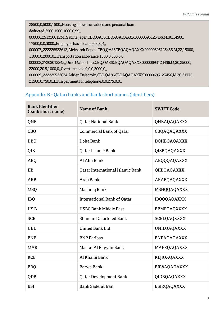28500,0,5000,1500,,Housing allowance added and personal loan deducted,2500,1500,1000,0,99,, 000006,29132001234,,Sabine Jager,CBQ,QA86CBQAQAQAXXX00000693123456,M,30,14500, 17500,0,0,3000,,Employee has a loan,0,0,0,0,4,, 000007,,222225522612,Aleksandr Popov,CBQ,QA86CBQAQAQAXXX00000693123456,M,22,15000, 11000,0,2000,0,,Transportation allowance,1500,0,500,0,0,, 000008,27203012245,,Ume Matsushita,CBQ,QA86CBQAQAQAXXX00000693123456,M,30,25000, 22000,20.5,1000,0,,Overtime paid,0,0,0,2000,0,,

000009,,222225522634,Adrien Delacroix,CBQ,QA86CBQAQAQAXXX00000693123456,M,30,21775, 21500,0,750,0,,Extra payment for telephone,0,0,275,0,0,,

# Appendix B - Qatari banks and bank short names (identifiers)

| <b>Bank Identifier</b><br>(bank short name) | <b>Name of Bank</b>                | <b>SWIFT Code</b>  |
|---------------------------------------------|------------------------------------|--------------------|
| <b>ONB</b>                                  | <b>Oatar National Bank</b>         | <b>ONBAOAOAXXX</b> |
| CBQ                                         | <b>Commercial Bank of Qatar</b>    | CBQAQAQAXXX        |
| <b>DBQ</b>                                  | Doha Bank                          | <b>DOHBOAQAXXX</b> |
| 0IB                                         | Oatar Islamic Bank                 | <b>OISBOAOAXXX</b> |
| <b>ABQ</b>                                  | Al Ahli Bank                       | ABQQQAQAXXX        |
| <b>IIB</b>                                  | Oatar International Islamic Bank   | <b>OIIBOAOAXXX</b> |
| ARB                                         | Arab Bank                          | ARABQAQAXXX        |
| <b>MSQ</b>                                  | Mashreg Bank                       | MSHQQAQAXXX        |
| <b>IBO</b>                                  | <b>International Bank of Qatar</b> | <b>IBOOOAOAXXX</b> |
| HS B                                        | <b>HSBC Bank Middle East</b>       | <b>BBMEQAQXXXX</b> |
| <b>SCB</b>                                  | <b>Standard Chartered Bank</b>     | <b>SCBLOAOXXXX</b> |
| <b>UBL</b>                                  | <b>United Bank Ltd</b>             | <b>UNILQAQAXXX</b> |
| <b>BNP</b>                                  | <b>BNP Paribas</b>                 | <b>BNPAOAOAXXX</b> |
| <b>MAR</b>                                  | Masraf Al Rayyan Bank              | MAFROAOAXXX        |
| <b>KCB</b>                                  | Al Khaliji Bank                    | KLJIQAQAXXX        |
| <b>BBO</b>                                  | Barwa Bank                         | <b>BRWAQAQAXXX</b> |
| QDB                                         | Qatar Development Bank             | QIDBQAQAXXX        |
| <b>BSI</b>                                  | <b>Bank Saderat Iran</b>           | <b>BSIRQAQAXXX</b> |